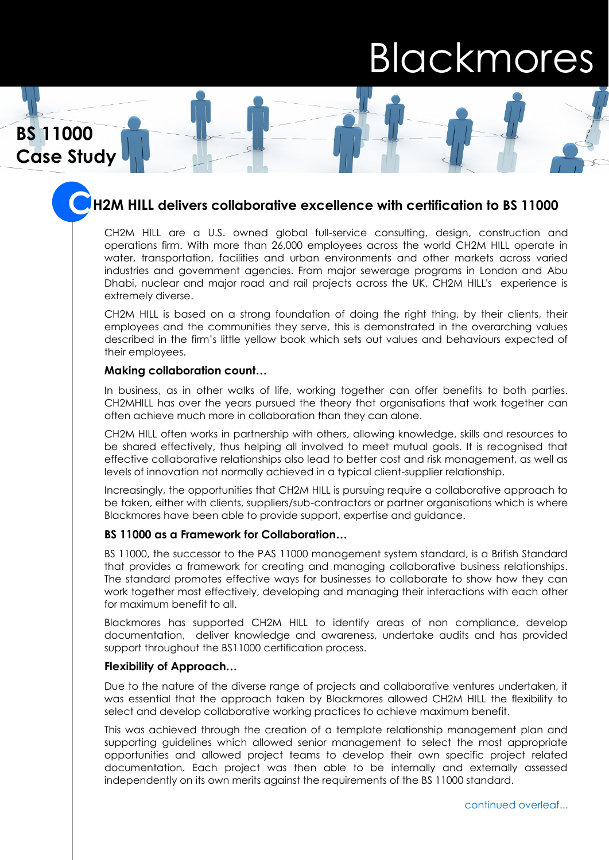# Blackmores

**Case Study Case StudyBS 11000**

# **H2M HILL** delivers collaborative excellence with certification to BS 11000

CH2M HILL are a U.S. owned global full-service consulting, design, construction and operations firm. With more than 26,000 employees across the world CH2M HILL operate in water, transportation, facilities and urban environments and other markets across varied industries and government agencies. From major sewerage programs in London and Abu Dhabi, nuclear and major road and rail projects across the UK, CH2M HILL's experience is extremely diverse.

CH2M HILL is based on a strong foundation of doing the right thing, by their clients, their employees and the communities they serve, this is demonstrated in the overarching values described in the firm's little yellow book which sets out values and behaviours expected of their employees.

### **Making collaboration count…**

In business, as in other walks of life, working together can offer benefits to both parties. CH2MHILL has over the years pursued the theory that organisations that work together can often achieve much more in collaboration than they can alone.

CH2M HILL often works in partnership with others, allowing knowledge, skills and resources to be shared effectively, thus helping all involved to meet mutual goals. It is recognised that effective collaborative relationships also lead to better cost and risk management, as well as levels of innovation not normally achieved in a typical client-supplier relationship.

Increasingly, the opportunities that CH2M HILL is pursuing require a collaborative approach to be taken, either with clients, suppliers/sub-contractors or partner organisations which is where Blackmores have been able to provide support, expertise and guidance.

# **BS 11000 as a Framework for Collaboration…**

BS 11000, the successor to the PAS 11000 management system standard, is a British Standard that provides a framework for creating and managing collaborative business relationships. The standard promotes effective ways for businesses to collaborate to show how they can work together most effectively, developing and managing their interactions with each other for maximum benefit to all.

Blackmores has supported CH2M HILL to identify areas of non compliance, develop documentation, deliver knowledge and awareness, undertake audits and has provided support throughout the BS11000 certification process.

## **Flexibility of Approach…**

Due to the nature of the diverse range of projects and collaborative ventures undertaken, it was essential that the approach taken by Blackmores allowed CH2M HILL the flexibility to select and develop collaborative working practices to achieve maximum benefit.

This was achieved through the creation of a template relationship management plan and supporting guidelines which allowed senior management to select the most appropriate opportunities and allowed project teams to develop their own specific project related documentation. Each project was then able to be internally and externally assessed independently on its own merits against the requirements of the BS 11000 standard.